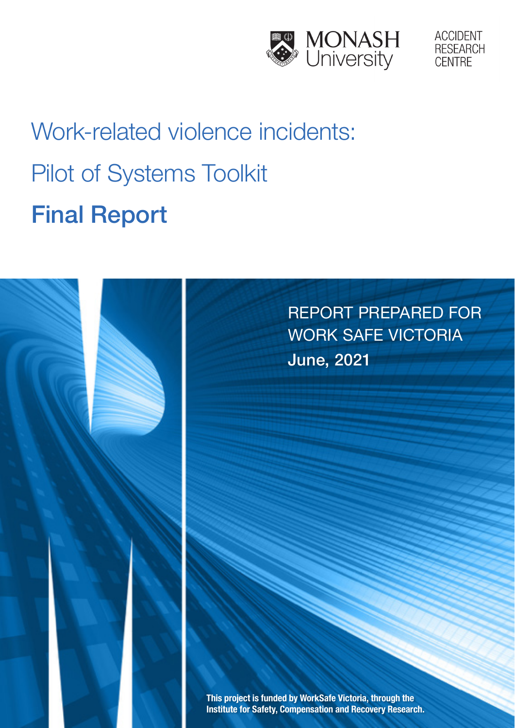



# Work-related violence incidents: Pilot of Systems Toolkit Final Report

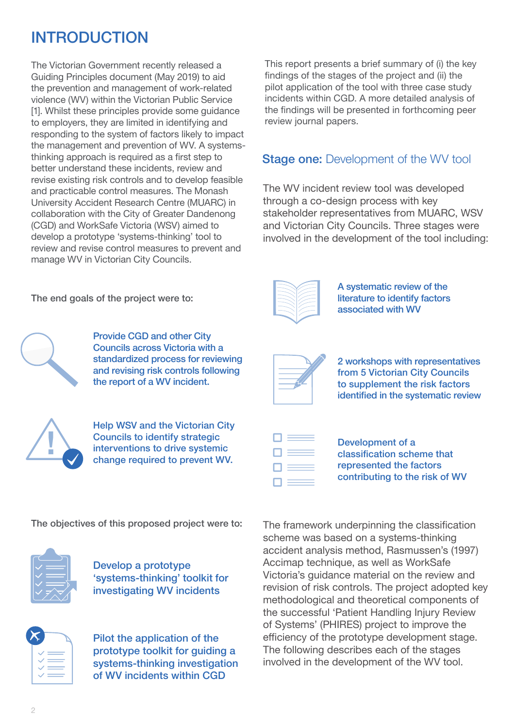# INTRODUCTION

The Victorian Government recently released a Guiding Principles document (May 2019) to aid the prevention and management of work-related violence (WV) within the Victorian Public Service [1]. Whilst these principles provide some quidance to employers, they are limited in identifying and responding to the system of factors likely to impact the management and prevention of WV. A systemsthinking approach is required as a first step to better understand these incidents, review and revise existing risk controls and to develop feasible and practicable control measures. The Monash University Accident Research Centre (MUARC) in collaboration with the City of Greater Dandenong (CGD) and WorkSafe Victoria (WSV) aimed to develop a prototype 'systems-thinking' tool to review and revise control measures to prevent and manage WV in Victorian City Councils.

This report presents a brief summary of (i) the key findings of the stages of the project and (ii) the pilot application of the tool with three case study incidents within CGD. A more detailed analysis of the findings will be presented in forthcoming peer review journal papers.

## **Stage one:** Development of the WV tool

The WV incident review tool was developed through a co-design process with key stakeholder representatives from MUARC, WSV and Victorian City Councils. Three stages were involved in the development of the tool including:

|   | × |
|---|---|
|   |   |
| ╲ |   |
|   | ۰ |
|   |   |

A systematic review of the literature to identify factors associated with WV

2 workshops with representatives from 5 Victorian City Councils to supplement the risk factors identified in the systematic review

Development of a classification scheme that represented the factors contributing to the risk of WV

The objectives of this proposed project were to:



Develop a prototype 'systems-thinking' toolkit for investigating WV incidents



Pilot the application of the prototype toolkit for guiding a systems-thinking investigation of WV incidents within CGD

The framework underpinning the classification scheme was based on a systems-thinking accident analysis method, Rasmussen's (1997) Accimap technique, as well as WorkSafe Victoria's guidance material on the review and revision of risk controls. The project adopted key methodological and theoretical components of the successful 'Patient Handling Injury Review of Systems' (PHIRES) project to improve the efficiency of the prototype development stage. The following describes each of the stages involved in the development of the WV tool.

The end goals of the project were to:

Provide CGD and other City Councils across Victoria with a standardized process for reviewing and revising risk controls following the report of a WV incident.



Help WSV and the Victorian City Councils to identify strategic interventions to drive systemic change required to prevent WV.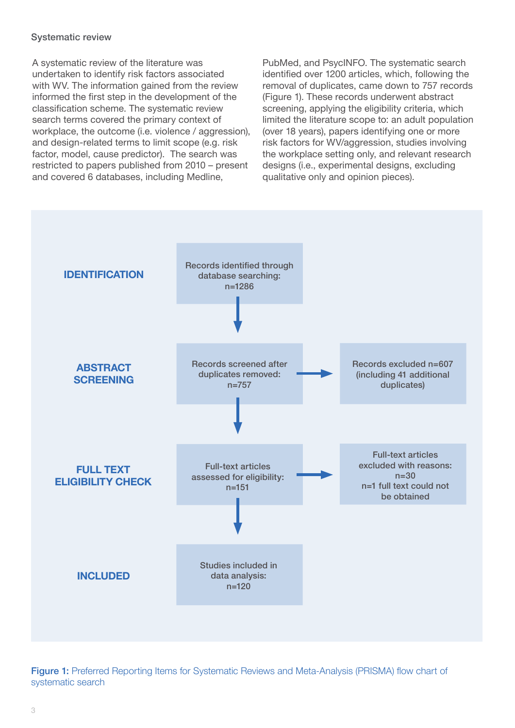## Systematic review

A systematic review of the literature was undertaken to identify risk factors associated with WV. The information gained from the review informed the first step in the development of the classification scheme. The systematic review search terms covered the primary context of workplace, the outcome (i.e. violence / aggression), and design-related terms to limit scope (e.g. risk factor, model, cause predictor). The search was restricted to papers published from 2010 – present and covered 6 databases, including Medline,

PubMed, and PsycINFO. The systematic search identified over 1200 articles, which, following the removal of duplicates, came down to 757 records (Figure 1). These records underwent abstract screening, applying the eligibility criteria, which limited the literature scope to: an adult population (over 18 years), papers identifying one or more risk factors for WV/aggression, studies involving the workplace setting only, and relevant research designs (i.e., experimental designs, excluding qualitative only and opinion pieces).



Figure 1: Preferred Reporting Items for Systematic Reviews and Meta-Analysis (PRISMA) flow chart of systematic search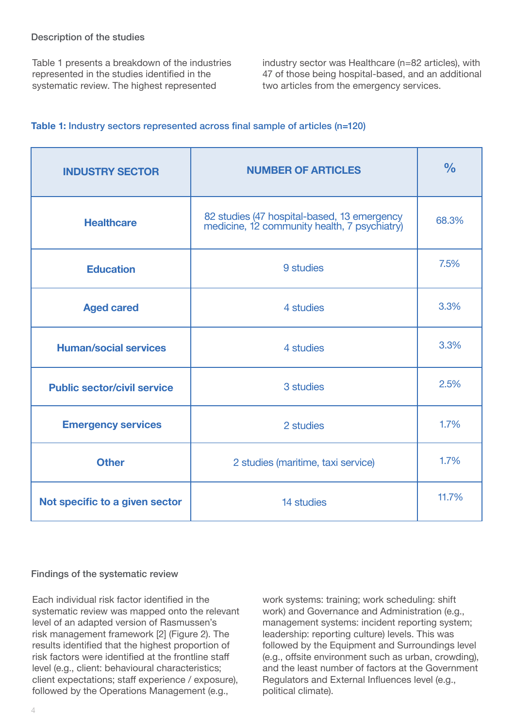Table 1 presents a breakdown of the industries represented in the studies identified in the systematic review. The highest represented

industry sector was Healthcare (n=82 articles), with 47 of those being hospital-based, and an additional two articles from the emergency services.

## **Table 1:** Industry sectors represented across final sample of articles (n=120)

| <b>INDUSTRY SECTOR</b>                       | <b>NUMBER OF ARTICLES</b>                                                                   | $\frac{0}{0}$ |
|----------------------------------------------|---------------------------------------------------------------------------------------------|---------------|
| <b>Healthcare</b>                            | 82 studies (47 hospital-based, 13 emergency<br>medicine, 12 community health, 7 psychiatry) | 68.3%         |
| <b>Education</b>                             | 9 studies                                                                                   | 7.5%          |
| <b>Aged cared</b>                            | 4 studies                                                                                   | 3.3%          |
| <b>Human/social services</b>                 | 4 studies                                                                                   | 3.3%          |
| <b>Public sector/civil service</b>           | 3 studies                                                                                   | 2.5%          |
| <b>Emergency services</b>                    | 2 studies                                                                                   | 1.7%          |
| <b>Other</b>                                 | 2 studies (maritime, taxi service)                                                          | 1.7%          |
| Not specific to a given sector<br>14 studies |                                                                                             | 11.7%         |

## Findings of the systematic review

Each individual risk factor identified in the systematic review was mapped onto the relevant level of an adapted version of Rasmussen's risk management framework [2] (Figure 2). The results identified that the highest proportion of risk factors were identified at the frontline staff level (e.g., client: behavioural characteristics; client expectations; staff experience / exposure), followed by the Operations Management (e.g.,

work systems: training; work scheduling: shift work) and Governance and Administration (e.g., management systems: incident reporting system; leadership: reporting culture) levels. This was followed by the Equipment and Surroundings level (e.g., offsite environment such as urban, crowding), and the least number of factors at the Government Regulators and External Influences level (e.g., political climate).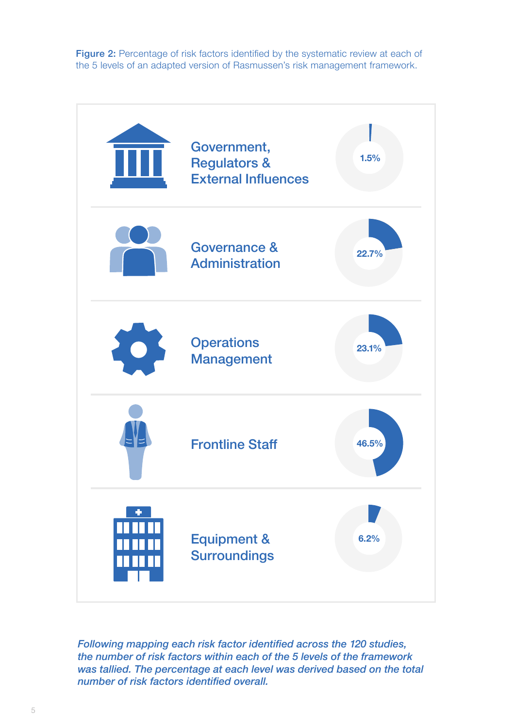Figure 2: Percentage of risk factors identified by the systematic review at each of the 5 levels of an adapted version of Rasmussen's risk management framework.



*Following mapping each risk factor identified across the 120 studies, the number of risk factors within each of the 5 levels of the framework was tallied. The percentage at each level was derived based on the total number of risk factors identified overall.*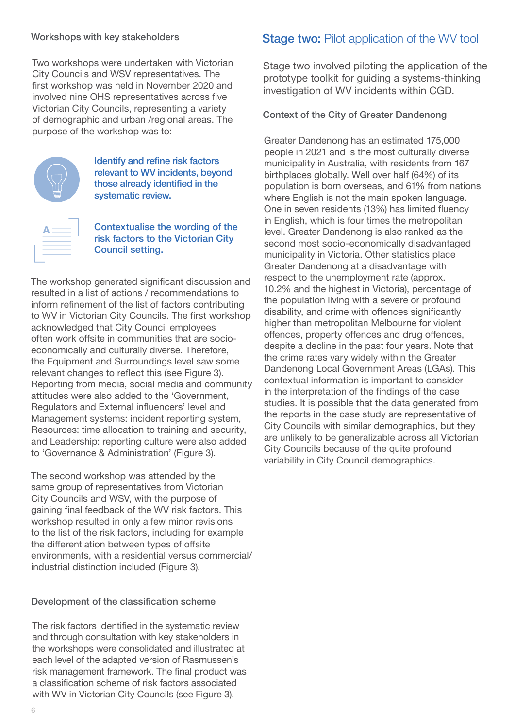## Workshops with key stakeholders

Two workshops were undertaken with Victorian City Councils and WSV representatives. The first workshop was held in November 2020 and involved nine OHS representatives across five Victorian City Councils, representing a variety of demographic and urban /regional areas. The purpose of the workshop was to:



Identify and refine risk factors relevant to WV incidents, beyond those already identified in the systematic review.

|                                                                                                                                                                              | the control of the control of the control of the control of the control of the control of |  |
|------------------------------------------------------------------------------------------------------------------------------------------------------------------------------|-------------------------------------------------------------------------------------------|--|
| the control of the control of the control of the control of the control of the control of<br>the contract of the contract of the contract of the contract of the contract of |                                                                                           |  |
| the control of the control of the control of the control of the control of the control of                                                                                    |                                                                                           |  |

Contextualise the wording of the risk factors to the Victorian City Council setting.

The workshop generated significant discussion and resulted in a list of actions / recommendations to inform refinement of the list of factors contributing to WV in Victorian City Councils. The first workshop acknowledged that City Council employees often work offsite in communities that are socioeconomically and culturally diverse. Therefore, the Equipment and Surroundings level saw some relevant changes to reflect this (see Figure 3). Reporting from media, social media and community attitudes were also added to the 'Government, Regulators and External influencers' level and Management systems: incident reporting system, Resources: time allocation to training and security, and Leadership: reporting culture were also added to 'Governance & Administration' (Figure 3).

The second workshop was attended by the same group of representatives from Victorian City Councils and WSV, with the purpose of gaining final feedback of the WV risk factors. This workshop resulted in only a few minor revisions to the list of the risk factors, including for example the differentiation between types of offsite environments, with a residential versus commercial/ industrial distinction included (Figure 3).

## Development of the classification scheme

The risk factors identified in the systematic review and through consultation with key stakeholders in the workshops were consolidated and illustrated at each level of the adapted version of Rasmussen's risk management framework. The final product was a classification scheme of risk factors associated with WV in Victorian City Councils (see Figure 3).

## **Stage two: Pilot application of the WV tool**

Stage two involved piloting the application of the prototype toolkit for guiding a systems-thinking investigation of WV incidents within CGD.

## Context of the City of Greater Dandenong

Greater Dandenong has an estimated 175,000 people in 2021 and is the most culturally diverse municipality in Australia, with residents from 167 birthplaces globally. Well over half (64%) of its population is born overseas, and 61% from nations where English is not the main spoken language. One in seven residents (13%) has limited fluency in English, which is four times the metropolitan level. Greater Dandenong is also ranked as the second most socio-economically disadvantaged municipality in Victoria. Other statistics place Greater Dandenong at a disadvantage with respect to the unemployment rate (approx. 10.2% and the highest in Victoria), percentage of the population living with a severe or profound disability, and crime with offences significantly higher than metropolitan Melbourne for violent offences, property offences and drug offences, despite a decline in the past four years. Note that the crime rates vary widely within the Greater Dandenong Local Government Areas (LGAs). This contextual information is important to consider in the interpretation of the findings of the case studies. It is possible that the data generated from the reports in the case study are representative of City Councils with similar demographics, but they are unlikely to be generalizable across all Victorian City Councils because of the quite profound variability in City Council demographics.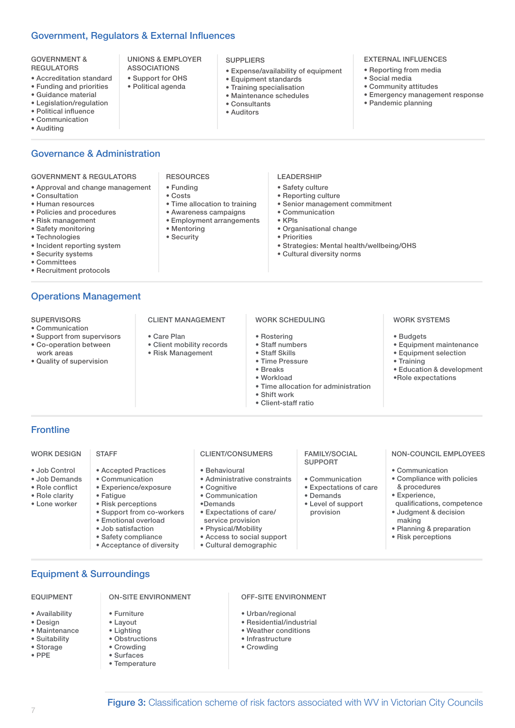## Government, Regulators & External Influences

| • Pandemic planning<br>• Legislation/regulation<br>• Consultants<br>• Political influence<br>• Auditors | <b>GOVERNMENT &amp;</b><br><b>REGULATORS</b><br>• Accreditation standard<br>• Funding and priorities<br>• Guidance material | UNIONS & EMPLOYER<br><b>ASSOCIATIONS</b><br>• Support for OHS<br>· Political agenda | <b>SUPPLIERS</b><br>• Expense/availability of equipment<br>• Equipment standards<br>• Training specialisation<br>• Maintenance schedules | <b>EXTERNAL INFLUENCES</b><br>• Reporting from media<br>• Social media<br>• Community attitudes<br>• Emergency management response |
|---------------------------------------------------------------------------------------------------------|-----------------------------------------------------------------------------------------------------------------------------|-------------------------------------------------------------------------------------|------------------------------------------------------------------------------------------------------------------------------------------|------------------------------------------------------------------------------------------------------------------------------------|
|---------------------------------------------------------------------------------------------------------|-----------------------------------------------------------------------------------------------------------------------------|-------------------------------------------------------------------------------------|------------------------------------------------------------------------------------------------------------------------------------------|------------------------------------------------------------------------------------------------------------------------------------|

- Political influence
- Communication
- Auditing

## Governance & Administration

#### GOVERNMENT & REGULATORS

- Approval and change management
- Consultation
- Human resources
- Policies and procedures
- Risk management
- Safety monitoring
- Technologies
- Incident reporting system
- Security systems • Committees
- 
- Recruitment protocols

## Operations Management

#### **SUPERVISORS**

- Communication
- Support from supervisors
- Co-operation between work areas
- Quality of supervision

#### RESOURCES

- Funding
- Costs
- Time allocation to training
- Awareness campaigns
- Employment arrangements • Mentoring
- 

CLIENT MANAGEMENT

• Client mobility records • Risk Management

• Care Plan

• Security

#### LEADERSHIP

- Safety culture
- Reporting culture
- Senior management commitment
- Communication
- KPls
- Organisational change
- Priorities
- Strategies: Mental health/wellbeing/OHS
- Cultural diversity norms

- Rostering
- Staff numbers • Staff Skills

WORK SCHEDULING

- Time Pressure
- 
- Breaks
- Workload • Time allocation for administration
- Shift work
- Client-staff ratio

OFF-SITE ENVIRONMENT

• Urban/regional • Residential/industrial • Weather conditions • Infrastructure • Crowding

## **Frontline**

#### WORK DESIGN **STAFF**

- Job Control
- Job Demands
- Role conflict
- Role clarity • Lone worker
- Risk perceptions

• Fatigue

• Support from co-workers

• Accepted Practices • Communication • Experience/exposure

- Emotional overload
- Job satisfaction
- Safety compliance

• Furniture • Layout • Lighting • Obstructions • Crowding • Surfaces • Temperature

• Acceptance of diversity

ON-SITE ENVIRONMENT

## FAMILY/SOCIAL

- Behavioural
- Administrative constraints
- Cognitive
- Communication
- •Demands
- Expectations of care/ service provision
- Physical/Mobility
- 
- 

- 
- 
- 
- provision
- 
- Access to social support
- Cultural demographic

**Figure 3:** Classification scheme of risk factors associated with WV in Victorian City Councils

CLIENT/CONSUMERS **SUPPORT** 

- Communication
- Expectations of care
- Demands
- Level of support

#### NON-COUNCIL EMPLOYEES

• Communication

WORK SYSTEMS

• Equipment maintenance • Equipment selection

• Education & development •Role expectations

• Budgets

• Training

- Compliance with policies & procedures
- Experience,
- qualifications, competence • Judgment & decision
- making
- Planning & preparation
- Risk perceptions

Equipment & Surroundings

#### EQUIPMENT

- Availability
- Design

• Storage • PPE

• Maintenance • Suitability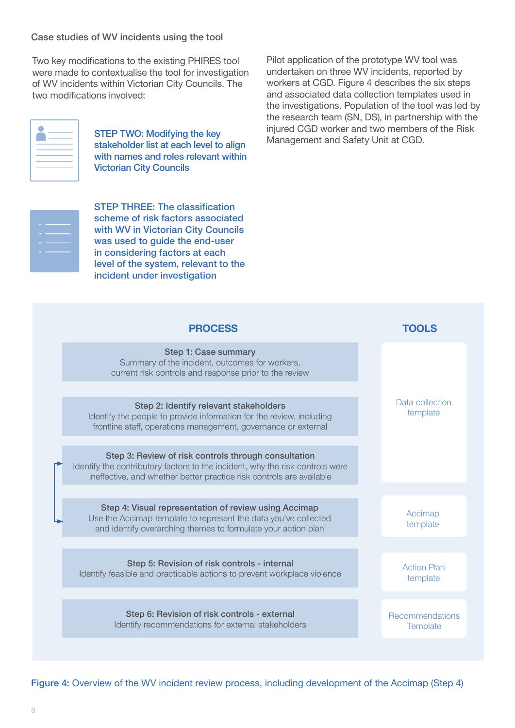### Case studies of WV incidents using the tool

Two key modifications to the existing PHIRES tool were made to contextualise the tool for investigation of WV incidents within Victorian City Councils. The two modifications involved:

|                                   | ____                                                                                                                                                                                                                          |  |
|-----------------------------------|-------------------------------------------------------------------------------------------------------------------------------------------------------------------------------------------------------------------------------|--|
| $\overline{\phantom{a}}$<br>_____ |                                                                                                                                                                                                                               |  |
|                                   | the control of the control of the control of the control of the control of the control of the control of the control of the control of the control of the control of the control of the control of the control of the control |  |

STEP TWO: Modifying the key stakeholder list at each level to align with names and roles relevant within Victorian City Councils

STEP THREE: The classification scheme of risk factors associated with WV in Victorian City Councils was used to guide the end-user in considering factors at each level of the system, relevant to the incident under investigation

Pilot application of the prototype WV tool was undertaken on three WV incidents, reported by workers at CGD. Figure 4 describes the six steps and associated data collection templates used in the investigations. Population of the tool was led by the research team (SN, DS), in partnership with the injured CGD worker and two members of the Risk Management and Safety Unit at CGD.

| <b>PROCESS</b>                                                                                                                                                                                                | TOOI S                         |
|---------------------------------------------------------------------------------------------------------------------------------------------------------------------------------------------------------------|--------------------------------|
| <b>Step 1: Case summary</b><br>Summary of the incident, outcomes for workers,<br>current risk controls and response prior to the review                                                                       |                                |
| Step 2: Identify relevant stakeholders<br>Identify the people to provide information for the review, including<br>frontline staff, operations management, governance or external                              | Data collection<br>template    |
| Step 3: Review of risk controls through consultation<br>Identify the contributory factors to the incident, why the risk controls were<br>ineffective, and whether better practice risk controls are available |                                |
| Step 4: Visual representation of review using Accimap<br>Use the Accimap template to represent the data you've collected<br>and identify overarching themes to formulate your action plan                     | Accimap<br>template            |
| Step 5: Revision of risk controls - internal<br>Identify feasible and practicable actions to prevent workplace violence                                                                                       | <b>Action Plan</b><br>template |
| Step 6: Revision of risk controls - external<br>Identify recommendations for external stakeholders                                                                                                            | Recommendations<br>Template    |

Figure 4: Overview of the WV incident review process, including development of the Accimap (Step 4)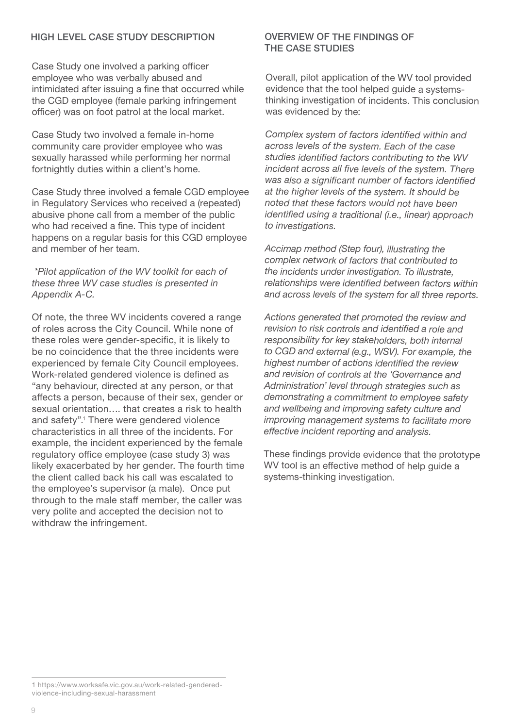## HIGH LEVEL CASE STUDY DESCRIPTION

Case Study one involved a parking officer employee who was verbally abused and intimidated after issuing a fine that occurred while the CGD employee (female parking infringement officer) was on foot patrol at the local market.

Case Study two involved a female in-home community care provider employee who was sexually harassed while performing her normal fortnightly duties within a client's home.

Case Study three involved a female CGD employee in Regulatory Services who received a (repeated) abusive phone call from a member of the public who had received a fine. This type of incident happens on a regular basis for this CGD employee and member of her team.

 *\*Pilot application of the WV toolkit for each of these three WV case studies is presented in Appendix A-C.* 

Of note, the three WV incidents covered a range of roles across the City Council. While none of these roles were gender-specific, it is likely to be no coincidence that the three incidents were experienced by female City Council employees. Work-related gendered violence is defined as "any behaviour, directed at any person, or that affects a person, because of their sex, gender or sexual orientation…. that creates a risk to health and safety".1 There were gendered violence characteristics in all three of the incidents. For example, the incident experienced by the female regulatory office employee (case study 3) was likely exacerbated by her gender. The fourth time the client called back his call was escalated to the employee's supervisor (a male). Once put through to the male staff member, the caller was very polite and accepted the decision not to withdraw the infringement.

## OVERVIEW OF THE FINDINGS OF THE CASE STUDIES

Overall, pilot application of the WV tool provided evidence that the tool helped guide a systemsthinking investigation of incidents. This conclusion was evidenced by the:

*Complex system of factors identified within and across levels of the system. Each of the case studies identified factors contributing to the WV incident across all five levels of the system. There was also a significant number of factors identified at the higher levels of the system. It should be noted that these factors would not have been identified using a traditional (i.e., linear) approach to investigations.*

*Accimap method (Step four), illustrating the complex network of factors that contributed to the incidents under investigation. To illustrate, relationships were identified between factors within and across levels of the system for all three reports.*

*Actions generated that promoted the review and revision to risk controls and identified a role and responsibility for key stakeholders, both internal to CGD and external (e.g., WSV). For example, the highest number of actions identified the review and revision of controls at the 'Governance and Administration' level through strategies such as demonstrating a commitment to employee safety and wellbeing and improving safety culture and improving management systems to facilitate more effective incident reporting and analysis.*

These findings provide evidence that the prototype WV tool is an effective method of help guide a systems-thinking investigation.

<sup>1</sup> https://www.worksafe.vic.gov.au/work-related-genderedviolence-including-sexual-harassment